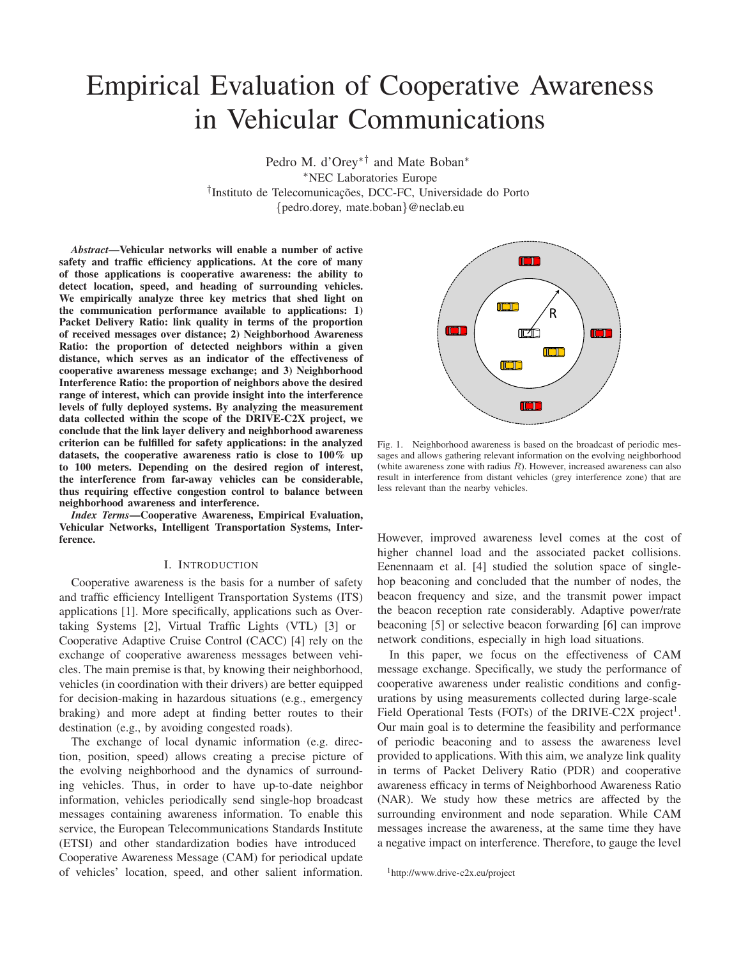# Empirical Evaluation of Cooperative Awareness in Vehicular Communications

Pedro M. d'Orey∗† and Mate Boban∗ ∗NEC Laboratories Europe <sup>†</sup>Instituto de Telecomunicações, DCC-FC, Universidade do Porto *{*pedro.dorey, mate.boban*}*@neclab.eu

*Abstract***—Vehicular networks will enable a number of active safety and traffic efficiency applications. At the core of many of those applications is cooperative awareness: the ability to detect location, speed, and heading of surrounding vehicles. We empirically analyze three key metrics that shed light on the communication performance available to applications: 1) Packet Delivery Ratio: link quality in terms of the proportion of received messages over distance; 2) Neighborhood Awareness Ratio: the proportion of detected neighbors within a given distance, which serves as an indicator of the effectiveness of cooperative awareness message exchange; and 3) Neighborhood Interference Ratio: the proportion of neighbors above the desired range of interest, which can provide insight into the interference levels of fully deployed systems. By analyzing the measurement data collected within the scope of the DRIVE-C2X project, we conclude that the link layer delivery and neighborhood awareness criterion can be fulfilled for safety applications: in the analyzed datasets, the cooperative awareness ratio is close to 100% up to 100 meters. Depending on the desired region of interest, the interference from far-away vehicles can be considerable, thus requiring effective congestion control to balance between neighborhood awareness and interference.**

*Index Terms***—Cooperative Awareness, Empirical Evaluation, Vehicular Networks, Intelligent Transportation Systems, Interference.**

## I. INTRODUCTION

Cooperative awareness is the basis for a number of safety and traffic efficiency Intelligent Transportation Systems (ITS) applications [1]. More specifically, applications such as Overtaking Systems [2], Virtual Traffic Lights (VTL) [3] or Cooperative Adaptive Cruise Control (CACC) [4] rely on the exchange of cooperative awareness messages between vehicles. The main premise is that, by knowing their neighborhood, vehicles (in coordination with their drivers) are better equipped for decision-making in hazardous situations (e.g., emergency braking) and more adept at finding better routes to their destination (e.g., by avoiding congested roads).

The exchange of local dynamic information (e.g. direction, position, speed) allows creating a precise picture of the evolving neighborhood and the dynamics of surrounding vehicles. Thus, in order to have up-to-date neighbor information, vehicles periodically send single-hop broadcast messages containing awareness information. To enable this service, the European Telecommunications Standards Institute (ETSI) and other standardization bodies have introduced Cooperative Awareness Message (CAM) for periodical update of vehicles' location, speed, and other salient information.



Fig. 1. Neighborhood awareness is based on the broadcast of periodic messages and allows gathering relevant information on the evolving neighborhood (white awareness zone with radius *R*). However, increased awareness can also result in interference from distant vehicles (grey interference zone) that are less relevant than the nearby vehicles.

However, improved awareness level comes at the cost of higher channel load and the associated packet collisions. Eenennaam et al. [4] studied the solution space of singlehop beaconing and concluded that the number of nodes, the beacon frequency and size, and the transmit power impact the beacon reception rate considerably. Adaptive power/rate beaconing [5] or selective beacon forwarding [6] can improve network conditions, especially in high load situations.

In this paper, we focus on the effectiveness of CAM message exchange. Specifically, we study the performance of cooperative awareness under realistic conditions and configurations by using measurements collected during large-scale Field Operational Tests (FOTs) of the DRIVE-C2X project<sup>1</sup>. Our main goal is to determine the feasibility and performance of periodic beaconing and to assess the awareness level provided to applications. With this aim, we analyze link quality in terms of Packet Delivery Ratio (PDR) and cooperative awareness efficacy in terms of Neighborhood Awareness Ratio (NAR). We study how these metrics are affected by the surrounding environment and node separation. While CAM messages increase the awareness, at the same time they have a negative impact on interference. Therefore, to gauge the level

```
1http://www.drive-c2x.eu/project
```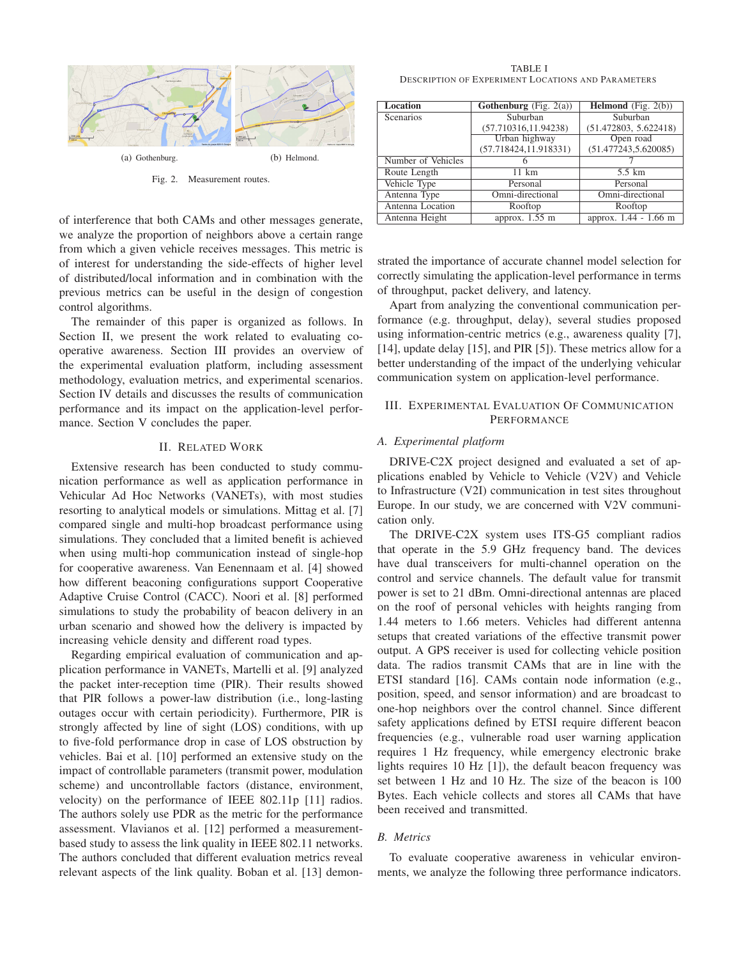

of interference that both CAMs and other messages generate, we analyze the proportion of neighbors above a certain range from which a given vehicle receives messages. This metric is of interest for understanding the side-effects of higher level of distributed/local information and in combination with the previous metrics can be useful in the design of congestion control algorithms.

The remainder of this paper is organized as follows. In Section II, we present the work related to evaluating cooperative awareness. Section III provides an overview of the experimental evaluation platform, including assessment methodology, evaluation metrics, and experimental scenarios. Section IV details and discusses the results of communication performance and its impact on the application-level performance. Section V concludes the paper.

## II. RELATED WORK

Extensive research has been conducted to study communication performance as well as application performance in Vehicular Ad Hoc Networks (VANETs), with most studies resorting to analytical models or simulations. Mittag et al. [7] compared single and multi-hop broadcast performance using simulations. They concluded that a limited benefit is achieved when using multi-hop communication instead of single-hop for cooperative awareness. Van Eenennaam et al. [4] showed how different beaconing configurations support Cooperative Adaptive Cruise Control (CACC). Noori et al. [8] performed simulations to study the probability of beacon delivery in an urban scenario and showed how the delivery is impacted by increasing vehicle density and different road types.

Regarding empirical evaluation of communication and application performance in VANETs, Martelli et al. [9] analyzed the packet inter-reception time (PIR). Their results showed that PIR follows a power-law distribution (i.e., long-lasting outages occur with certain periodicity). Furthermore, PIR is strongly affected by line of sight (LOS) conditions, with up to five-fold performance drop in case of LOS obstruction by vehicles. Bai et al. [10] performed an extensive study on the impact of controllable parameters (transmit power, modulation scheme) and uncontrollable factors (distance, environment, velocity) on the performance of IEEE 802.11p [11] radios. The authors solely use PDR as the metric for the performance assessment. Vlavianos et al. [12] performed a measurementbased study to assess the link quality in IEEE 802.11 networks. The authors concluded that different evaluation metrics reveal relevant aspects of the link quality. Boban et al. [13] demon-

TABLE I DESCRIPTION OF EXPERIMENT LOCATIONS AND PARAMETERS

| <b>Location</b>    | <b>Gothenburg</b> (Fig. $2(a)$ ) | <b>Helmond</b> (Fig. $2(b)$ ) |
|--------------------|----------------------------------|-------------------------------|
| Scenarios          | Suburban                         | Suburban                      |
|                    | (57.710316, 11.94238)            | (51.472803, 5.622418)         |
|                    | Urban highway                    | Open road                     |
|                    | (57.718424, 11.918331)           | (51.477243, 5.620085)         |
| Number of Vehicles |                                  |                               |
| Route Length       | $11 \text{ km}$                  | $5.5 \text{ km}$              |
| Vehicle Type       | Personal                         | Personal                      |
| Antenna Type       | Omni-directional                 | Omni-directional              |
| Antenna Location   | Rooftop                          | Rooftop                       |
| Antenna Height     | approx. $1.55$ m                 | approx. 1.44 - 1.66 m         |

strated the importance of accurate channel model selection for correctly simulating the application-level performance in terms of throughput, packet delivery, and latency.

Apart from analyzing the conventional communication performance (e.g. throughput, delay), several studies proposed using information-centric metrics (e.g., awareness quality [7], [14], update delay [15], and PIR [5]). These metrics allow for a better understanding of the impact of the underlying vehicular communication system on application-level performance.

# III. EXPERIMENTAL EVALUATION OF COMMUNICATION PERFORMANCE

## *A. Experimental platform*

DRIVE-C2X project designed and evaluated a set of applications enabled by Vehicle to Vehicle (V2V) and Vehicle to Infrastructure (V2I) communication in test sites throughout Europe. In our study, we are concerned with V2V communication only.

The DRIVE-C2X system uses ITS-G5 compliant radios that operate in the 5.9 GHz frequency band. The devices have dual transceivers for multi-channel operation on the control and service channels. The default value for transmit power is set to 21 dBm. Omni-directional antennas are placed on the roof of personal vehicles with heights ranging from 1.44 meters to 1.66 meters. Vehicles had different antenna setups that created variations of the effective transmit power output. A GPS receiver is used for collecting vehicle position data. The radios transmit CAMs that are in line with the ETSI standard [16]. CAMs contain node information (e.g., position, speed, and sensor information) and are broadcast to one-hop neighbors over the control channel. Since different safety applications defined by ETSI require different beacon frequencies (e.g., vulnerable road user warning application requires 1 Hz frequency, while emergency electronic brake lights requires 10 Hz [1]), the default beacon frequency was set between 1 Hz and 10 Hz. The size of the beacon is 100 Bytes. Each vehicle collects and stores all CAMs that have been received and transmitted.

## *B. Metrics*

To evaluate cooperative awareness in vehicular environments, we analyze the following three performance indicators.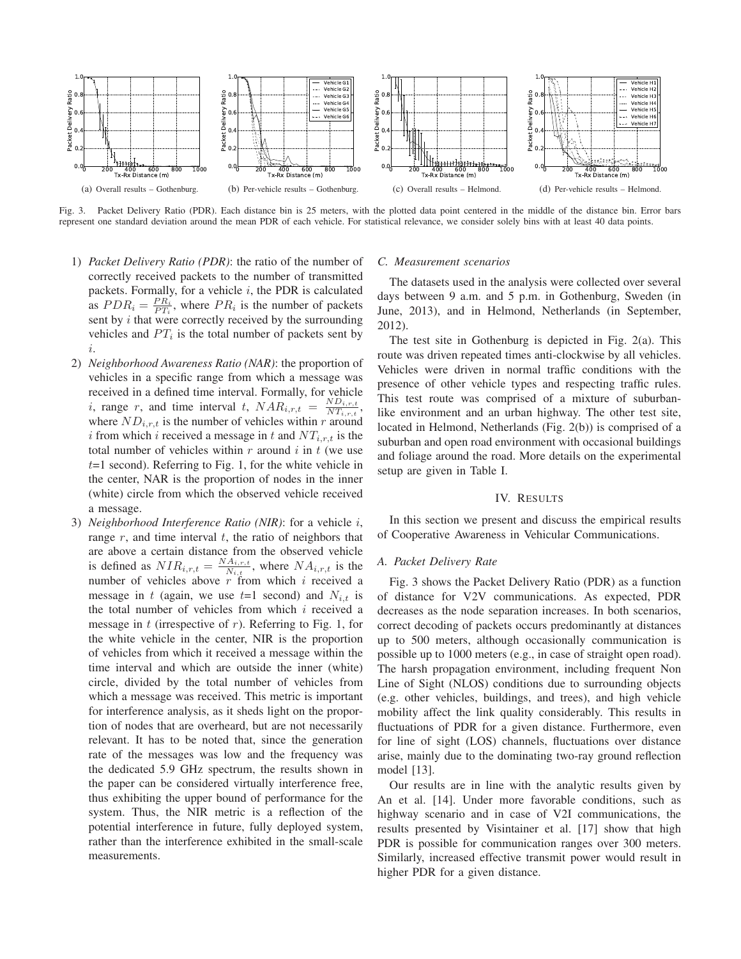

Fig. 3. Packet Delivery Ratio (PDR). Each distance bin is 25 meters, with the plotted data point centered in the middle of the distance bin. Error bars represent one standard deviation around the mean PDR of each vehicle. For statistical relevance, we consider solely bins with at least 40 data points.

- 1) *Packet Delivery Ratio (PDR)*: the ratio of the number of correctly received packets to the number of transmitted packets. Formally, for a vehicle *i*, the PDR is calculated as  $PDR_i = \frac{PR_i}{PT_i}$ , where  $PR_i$  is the number of packets sent by *i* that were correctly received by the surrounding vehicles and  $PT_i$  is the total number of packets sent by *i*.
- 2) *Neighborhood Awareness Ratio (NAR)*: the proportion of vehicles in a specific range from which a message was received in a defined time interval. Formally, for vehicle<br> $\therefore$  manner and time interval  $t + NAR_{i,n,t} = \frac{ND_{i,n,t}}{NMR_{i,n,t}}$ . *i*, range *r*, and time interval *t*,  $NAR_{i,r,t} = \frac{ND_{i,r,t}}{NT_{i,r,t}},$ where  $ND_{i,r,t}$  is the number of vehicles within *r* around *i* from which *i* received a message in *t* and *NTi,r,t* is the total number of vehicles within *r* around *i* in *t* (we use *t*=1 second). Referring to Fig. 1, for the white vehicle in the center, NAR is the proportion of nodes in the inner (white) circle from which the observed vehicle received a message.
- 3) *Neighborhood Interference Ratio (NIR)*: for a vehicle *i*, range *r*, and time interval *t*, the ratio of neighbors that are above a certain distance from the observed vehicle is defined as  $NIR_{i,r,t} = \frac{NA_{i,r,t}}{N_{i,t}}$ , where  $NA_{i,r,t}$  is the number of vehicles above *r* from which *i* received a message in *t* (again, we use  $t=1$  second) and  $N_{i,t}$  is the total number of vehicles from which *i* received a message in *t* (irrespective of *r*). Referring to Fig. 1, for the white vehicle in the center, NIR is the proportion of vehicles from which it received a message within the time interval and which are outside the inner (white) circle, divided by the total number of vehicles from which a message was received. This metric is important for interference analysis, as it sheds light on the proportion of nodes that are overheard, but are not necessarily relevant. It has to be noted that, since the generation rate of the messages was low and the frequency was the dedicated 5.9 GHz spectrum, the results shown in the paper can be considered virtually interference free, thus exhibiting the upper bound of performance for the system. Thus, the NIR metric is a reflection of the potential interference in future, fully deployed system, rather than the interference exhibited in the small-scale measurements.

#### *C. Measurement scenarios*

The datasets used in the analysis were collected over several days between 9 a.m. and 5 p.m. in Gothenburg, Sweden (in June, 2013), and in Helmond, Netherlands (in September, 2012).

The test site in Gothenburg is depicted in Fig. 2(a). This route was driven repeated times anti-clockwise by all vehicles. Vehicles were driven in normal traffic conditions with the presence of other vehicle types and respecting traffic rules. This test route was comprised of a mixture of suburbanlike environment and an urban highway. The other test site, located in Helmond, Netherlands (Fig. 2(b)) is comprised of a suburban and open road environment with occasional buildings and foliage around the road. More details on the experimental setup are given in Table I.

### IV. RESULTS

In this section we present and discuss the empirical results of Cooperative Awareness in Vehicular Communications.

#### *A. Packet Delivery Rate*

Fig. 3 shows the Packet Delivery Ratio (PDR) as a function of distance for V2V communications. As expected, PDR decreases as the node separation increases. In both scenarios, correct decoding of packets occurs predominantly at distances up to 500 meters, although occasionally communication is possible up to 1000 meters (e.g., in case of straight open road). The harsh propagation environment, including frequent Non Line of Sight (NLOS) conditions due to surrounding objects (e.g. other vehicles, buildings, and trees), and high vehicle mobility affect the link quality considerably. This results in fluctuations of PDR for a given distance. Furthermore, even for line of sight (LOS) channels, fluctuations over distance arise, mainly due to the dominating two-ray ground reflection model [13].

Our results are in line with the analytic results given by An et al. [14]. Under more favorable conditions, such as highway scenario and in case of V2I communications, the results presented by Visintainer et al. [17] show that high PDR is possible for communication ranges over 300 meters. Similarly, increased effective transmit power would result in higher PDR for a given distance.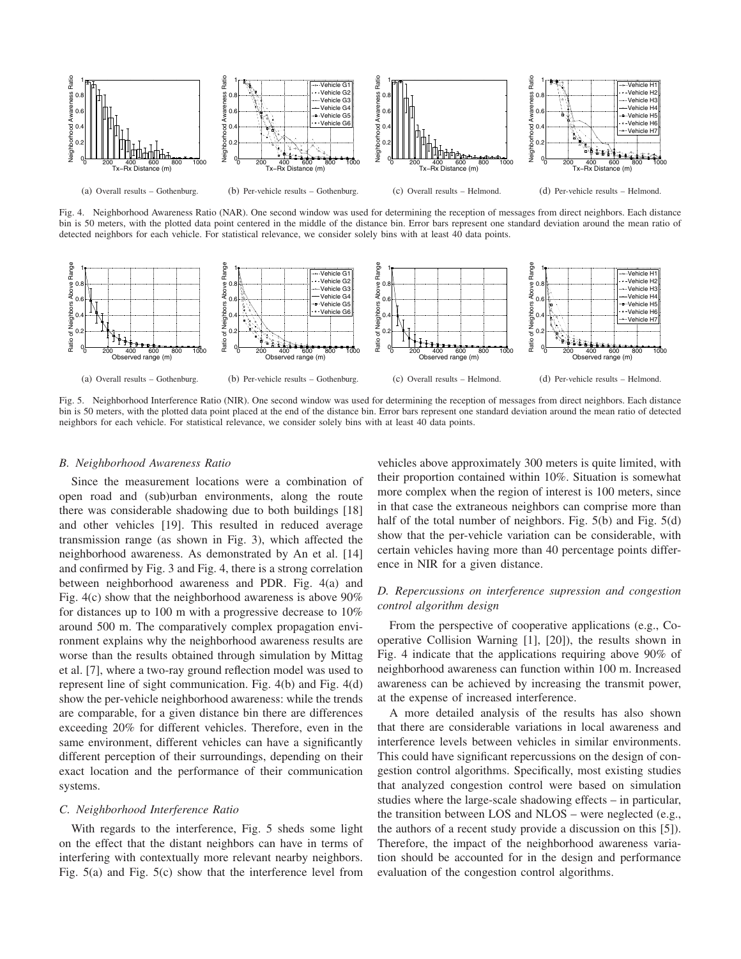

Fig. 4. Neighborhood Awareness Ratio (NAR). One second window was used for determining the reception of messages from direct neighbors. Each distance bin is 50 meters, with the plotted data point centered in the middle of the distance bin. Error bars represent one standard deviation around the mean ratio of detected neighbors for each vehicle. For statistical relevance, we consider solely bins with at least 40 data points.



Fig. 5. Neighborhood Interference Ratio (NIR). One second window was used for determining the reception of messages from direct neighbors. Each distance bin is 50 meters, with the plotted data point placed at the end of the distance bin. Error bars represent one standard deviation around the mean ratio of detected neighbors for each vehicle. For statistical relevance, we consider solely bins with at least 40 data points.

#### *B. Neighborhood Awareness Ratio*

Since the measurement locations were a combination of open road and (sub)urban environments, along the route there was considerable shadowing due to both buildings [18] and other vehicles [19]. This resulted in reduced average transmission range (as shown in Fig. 3), which affected the neighborhood awareness. As demonstrated by An et al. [14] and confirmed by Fig. 3 and Fig. 4, there is a strong correlation between neighborhood awareness and PDR. Fig. 4(a) and Fig. 4(c) show that the neighborhood awareness is above 90% for distances up to 100 m with a progressive decrease to 10% around 500 m. The comparatively complex propagation environment explains why the neighborhood awareness results are worse than the results obtained through simulation by Mittag et al. [7], where a two-ray ground reflection model was used to represent line of sight communication. Fig. 4(b) and Fig. 4(d) show the per-vehicle neighborhood awareness: while the trends are comparable, for a given distance bin there are differences exceeding 20% for different vehicles. Therefore, even in the same environment, different vehicles can have a significantly different perception of their surroundings, depending on their exact location and the performance of their communication systems.

## *C. Neighborhood Interference Ratio*

With regards to the interference, Fig. 5 sheds some light on the effect that the distant neighbors can have in terms of interfering with contextually more relevant nearby neighbors. Fig. 5(a) and Fig. 5(c) show that the interference level from

vehicles above approximately 300 meters is quite limited, with their proportion contained within 10%. Situation is somewhat more complex when the region of interest is 100 meters, since in that case the extraneous neighbors can comprise more than half of the total number of neighbors. Fig. 5(b) and Fig. 5(d) show that the per-vehicle variation can be considerable, with certain vehicles having more than 40 percentage points difference in NIR for a given distance.

# *D. Repercussions on interference supression and congestion control algorithm design*

From the perspective of cooperative applications (e.g., Cooperative Collision Warning [1], [20]), the results shown in Fig. 4 indicate that the applications requiring above 90% of neighborhood awareness can function within 100 m. Increased awareness can be achieved by increasing the transmit power, at the expense of increased interference.

A more detailed analysis of the results has also shown that there are considerable variations in local awareness and interference levels between vehicles in similar environments. This could have significant repercussions on the design of congestion control algorithms. Specifically, most existing studies that analyzed congestion control were based on simulation studies where the large-scale shadowing effects – in particular, the transition between LOS and NLOS – were neglected (e.g., the authors of a recent study provide a discussion on this [5]). Therefore, the impact of the neighborhood awareness variation should be accounted for in the design and performance evaluation of the congestion control algorithms.